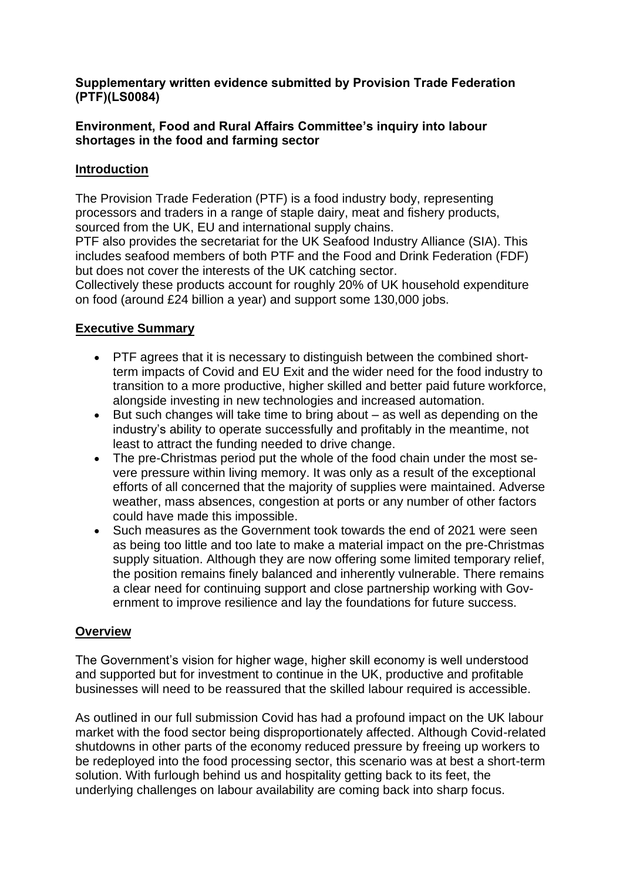## **Supplementary written evidence submitted by Provision Trade Federation (PTF)(LS0084)**

## **Environment, Food and Rural Affairs Committee's inquiry into labour shortages in the food and farming sector**

# **Introduction**

The Provision Trade Federation (PTF) is a food industry body, representing processors and traders in a range of staple dairy, meat and fishery products, sourced from the UK, EU and international supply chains.

PTF also provides the secretariat for the UK Seafood Industry Alliance (SIA). This includes seafood members of both PTF and the Food and Drink Federation (FDF) but does not cover the interests of the UK catching sector.

Collectively these products account for roughly 20% of UK household expenditure on food (around £24 billion a year) and support some 130,000 jobs.

# **Executive Summary**

- PTF agrees that it is necessary to distinguish between the combined shortterm impacts of Covid and EU Exit and the wider need for the food industry to transition to a more productive, higher skilled and better paid future workforce, alongside investing in new technologies and increased automation.
- But such changes will take time to bring about as well as depending on the industry's ability to operate successfully and profitably in the meantime, not least to attract the funding needed to drive change.
- The pre-Christmas period put the whole of the food chain under the most severe pressure within living memory. It was only as a result of the exceptional efforts of all concerned that the majority of supplies were maintained. Adverse weather, mass absences, congestion at ports or any number of other factors could have made this impossible.
- Such measures as the Government took towards the end of 2021 were seen as being too little and too late to make a material impact on the pre-Christmas supply situation. Although they are now offering some limited temporary relief, the position remains finely balanced and inherently vulnerable. There remains a clear need for continuing support and close partnership working with Government to improve resilience and lay the foundations for future success.

## **Overview**

The Government's vision for higher wage, higher skill economy is well understood and supported but for investment to continue in the UK, productive and profitable businesses will need to be reassured that the skilled labour required is accessible.

As outlined in our full submission Covid has had a profound impact on the UK labour market with the food sector being disproportionately affected. Although Covid-related shutdowns in other parts of the economy reduced pressure by freeing up workers to be redeployed into the food processing sector, this scenario was at best a short-term solution. With furlough behind us and hospitality getting back to its feet, the underlying challenges on labour availability are coming back into sharp focus.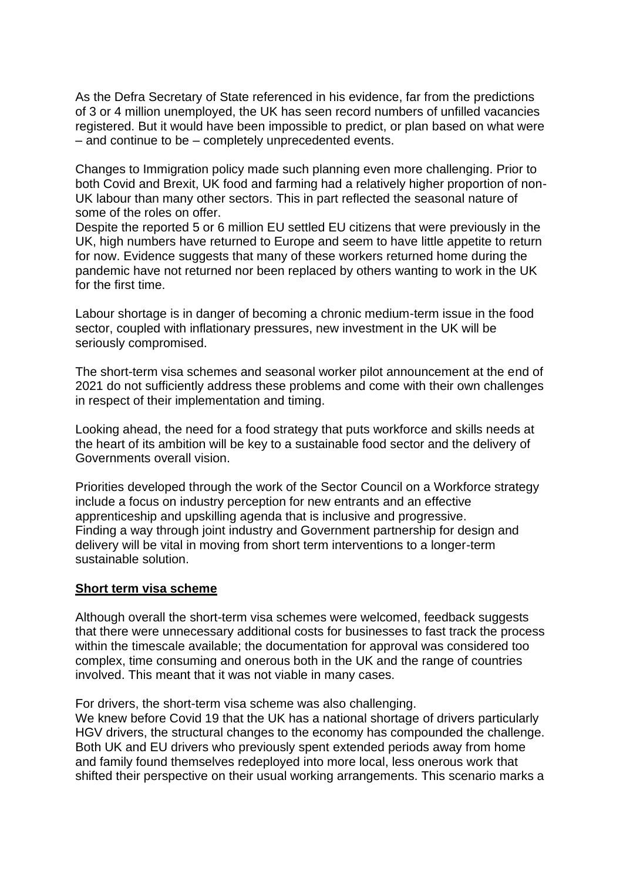As the Defra Secretary of State referenced in his evidence, far from the predictions of 3 or 4 million unemployed, the UK has seen record numbers of unfilled vacancies registered. But it would have been impossible to predict, or plan based on what were – and continue to be – completely unprecedented events.

Changes to Immigration policy made such planning even more challenging. Prior to both Covid and Brexit, UK food and farming had a relatively higher proportion of non-UK labour than many other sectors. This in part reflected the seasonal nature of some of the roles on offer.

Despite the reported 5 or 6 million EU settled EU citizens that were previously in the UK, high numbers have returned to Europe and seem to have little appetite to return for now. Evidence suggests that many of these workers returned home during the pandemic have not returned nor been replaced by others wanting to work in the UK for the first time.

Labour shortage is in danger of becoming a chronic medium-term issue in the food sector, coupled with inflationary pressures, new investment in the UK will be seriously compromised.

The short-term visa schemes and seasonal worker pilot announcement at the end of 2021 do not sufficiently address these problems and come with their own challenges in respect of their implementation and timing.

Looking ahead, the need for a food strategy that puts workforce and skills needs at the heart of its ambition will be key to a sustainable food sector and the delivery of Governments overall vision.

Priorities developed through the work of the Sector Council on a Workforce strategy include a focus on industry perception for new entrants and an effective apprenticeship and upskilling agenda that is inclusive and progressive. Finding a way through joint industry and Government partnership for design and delivery will be vital in moving from short term interventions to a longer-term sustainable solution.

#### **Short term visa scheme**

Although overall the short-term visa schemes were welcomed, feedback suggests that there were unnecessary additional costs for businesses to fast track the process within the timescale available; the documentation for approval was considered too complex, time consuming and onerous both in the UK and the range of countries involved. This meant that it was not viable in many cases.

For drivers, the short-term visa scheme was also challenging.

We knew before Covid 19 that the UK has a national shortage of drivers particularly HGV drivers, the structural changes to the economy has compounded the challenge. Both UK and EU drivers who previously spent extended periods away from home and family found themselves redeployed into more local, less onerous work that shifted their perspective on their usual working arrangements. This scenario marks a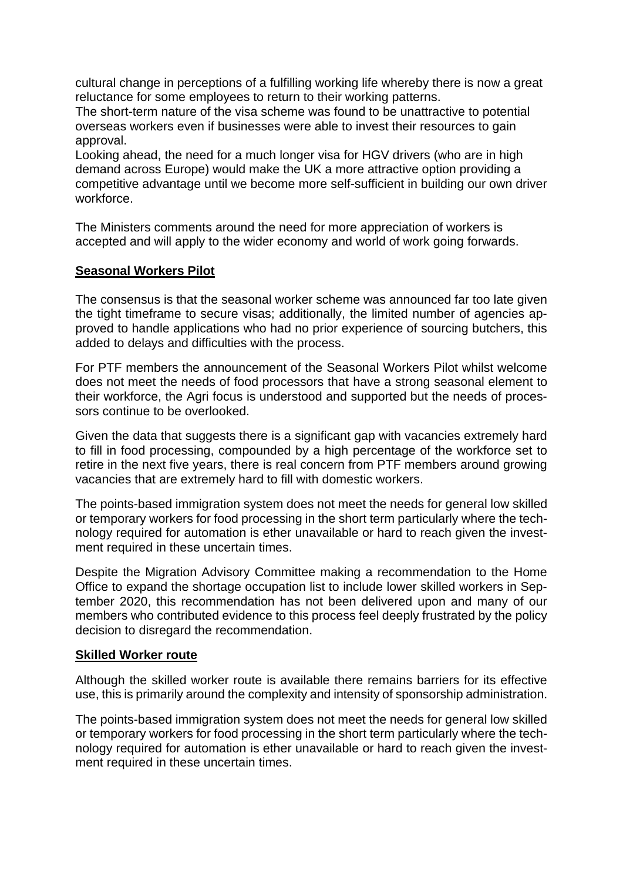cultural change in perceptions of a fulfilling working life whereby there is now a great reluctance for some employees to return to their working patterns.

The short-term nature of the visa scheme was found to be unattractive to potential overseas workers even if businesses were able to invest their resources to gain approval.

Looking ahead, the need for a much longer visa for HGV drivers (who are in high demand across Europe) would make the UK a more attractive option providing a competitive advantage until we become more self-sufficient in building our own driver workforce.

The Ministers comments around the need for more appreciation of workers is accepted and will apply to the wider economy and world of work going forwards.

### **Seasonal Workers Pilot**

The consensus is that the seasonal worker scheme was announced far too late given the tight timeframe to secure visas; additionally, the limited number of agencies approved to handle applications who had no prior experience of sourcing butchers, this added to delays and difficulties with the process.

For PTF members the announcement of the Seasonal Workers Pilot whilst welcome does not meet the needs of food processors that have a strong seasonal element to their workforce, the Agri focus is understood and supported but the needs of processors continue to be overlooked.

Given the data that suggests there is a significant gap with vacancies extremely hard to fill in food processing, compounded by a high percentage of the workforce set to retire in the next five years, there is real concern from PTF members around growing vacancies that are extremely hard to fill with domestic workers.

The points-based immigration system does not meet the needs for general low skilled or temporary workers for food processing in the short term particularly where the technology required for automation is ether unavailable or hard to reach given the investment required in these uncertain times.

Despite the Migration Advisory Committee making a recommendation to the Home Office to expand the shortage occupation list to include lower skilled workers in September 2020, this recommendation has not been delivered upon and many of our members who contributed evidence to this process feel deeply frustrated by the policy decision to disregard the recommendation.

#### **Skilled Worker route**

Although the skilled worker route is available there remains barriers for its effective use, this is primarily around the complexity and intensity of sponsorship administration.

The points-based immigration system does not meet the needs for general low skilled or temporary workers for food processing in the short term particularly where the technology required for automation is ether unavailable or hard to reach given the investment required in these uncertain times.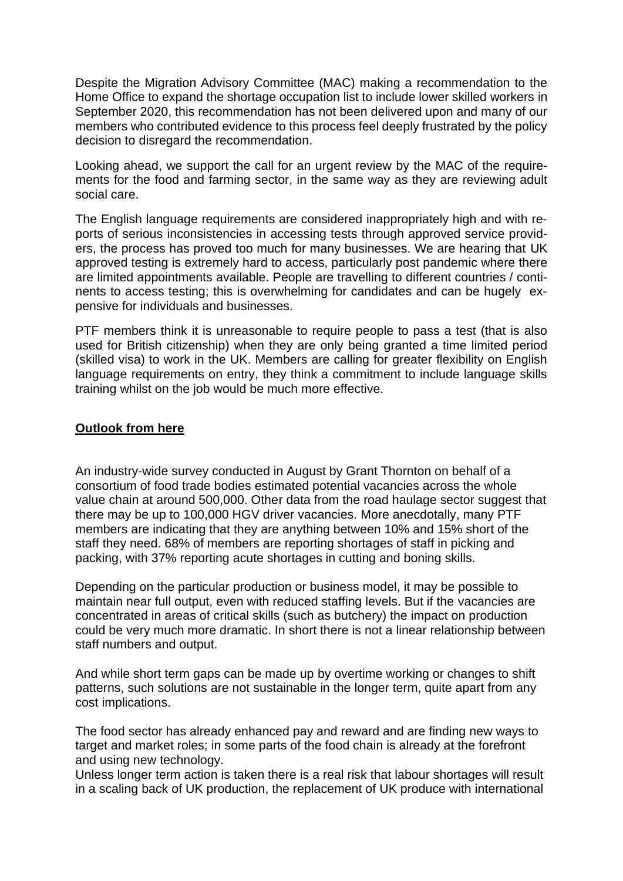Despite the Migration Advisory Committee (MAC) making a recommendation to the Home Office to expand the shortage occupation list to include lower skilled workers in September 2020, this recommendation has not been delivered upon and many of our members who contributed evidence to this process feel deeply frustrated by the policy decision to disregard the recommendation.

Looking ahead, we support the call for an urgent review by the MAC of the requirements for the food and farming sector, in the same way as they are reviewing adult social care.

The English language requirements are considered inappropriately high and with reports of serious inconsistencies in accessing tests through approved service providers, the process has proved too much for many businesses. We are hearing that UK approved testing is extremely hard to access, particularly post pandemic where there are limited appointments available. People are travelling to different countries / continents to access testing; this is overwhelming for candidates and can be hugely expensive for individuals and businesses.

PTF members think it is unreasonable to require people to pass a test (that is also used for British citizenship) when they are only being granted a time limited period (skilled visa) to work in the UK. Members are calling for greater flexibility on English language requirements on entry, they think a commitment to include language skills training whilst on the job would be much more effective.

#### **Outlook from here**

An industry-wide survey conducted in August by Grant Thornton on behalf of a consortium of food trade bodies estimated potential vacancies across the whole value chain at around 500,000. Other data from the road haulage sector suggest that there may be up to 100,000 HGV driver vacancies. More anecdotally, many PTF members are indicating that they are anything between 10% and 15% short of the staff they need. 68% of members are reporting shortages of staff in picking and packing, with 37% reporting acute shortages in cutting and boning skills.

Depending on the particular production or business model, it may be possible to maintain near full output, even with reduced staffing levels. But if the vacancies are concentrated in areas of critical skills (such as butchery) the impact on production could be very much more dramatic. In short there is not a linear relationship between staff numbers and output.

And while short term gaps can be made up by overtime working or changes to shift patterns, such solutions are not sustainable in the longer term, quite apart from any cost implications.

The food sector has already enhanced pay and reward and are finding new ways to target and market roles; in some parts of the food chain is already at the forefront and using new technology.

Unless longer term action is taken there is a real risk that labour shortages will result in a scaling back of UK production, the replacement of UK produce with international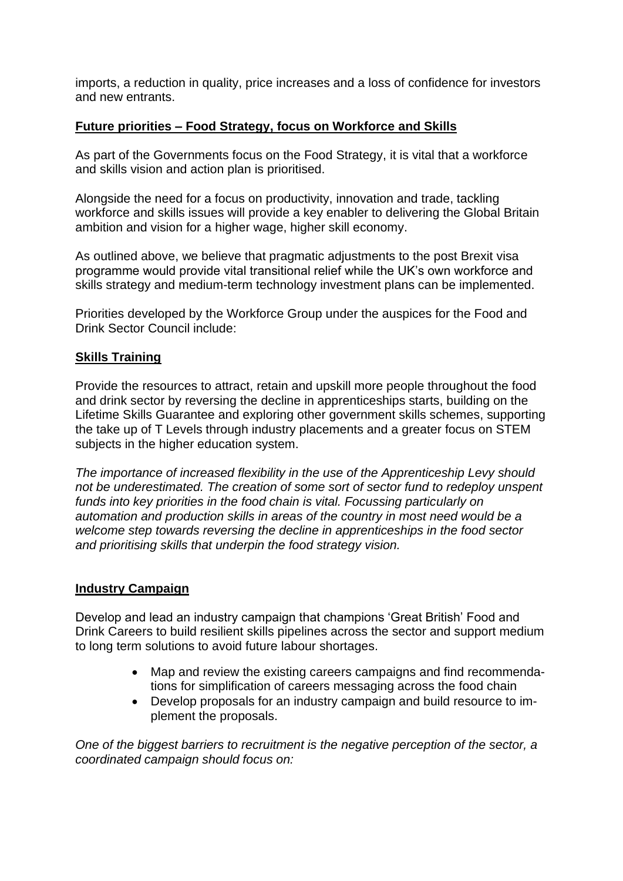imports, a reduction in quality, price increases and a loss of confidence for investors and new entrants.

## **Future priorities – Food Strategy, focus on Workforce and Skills**

As part of the Governments focus on the Food Strategy, it is vital that a workforce and skills vision and action plan is prioritised.

Alongside the need for a focus on productivity, innovation and trade, tackling workforce and skills issues will provide a key enabler to delivering the Global Britain ambition and vision for a higher wage, higher skill economy.

As outlined above, we believe that pragmatic adjustments to the post Brexit visa programme would provide vital transitional relief while the UK's own workforce and skills strategy and medium-term technology investment plans can be implemented.

Priorities developed by the Workforce Group under the auspices for the Food and Drink Sector Council include:

### **Skills Training**

Provide the resources to attract, retain and upskill more people throughout the food and drink sector by reversing the decline in apprenticeships starts, building on the Lifetime Skills Guarantee and exploring other government skills schemes, supporting the take up of T Levels through industry placements and a greater focus on STEM subjects in the higher education system.

*The importance of increased flexibility in the use of the Apprenticeship Levy should not be underestimated. The creation of some sort of sector fund to redeploy unspent funds into key priorities in the food chain is vital. Focussing particularly on automation and production skills in areas of the country in most need would be a welcome step towards reversing the decline in apprenticeships in the food sector and prioritising skills that underpin the food strategy vision.*

### **Industry Campaign**

Develop and lead an industry campaign that champions 'Great British' Food and Drink Careers to build resilient skills pipelines across the sector and support medium to long term solutions to avoid future labour shortages.

- Map and review the existing careers campaigns and find recommendations for simplification of careers messaging across the food chain
- Develop proposals for an industry campaign and build resource to implement the proposals.

*One of the biggest barriers to recruitment is the negative perception of the sector, a coordinated campaign should focus on:*